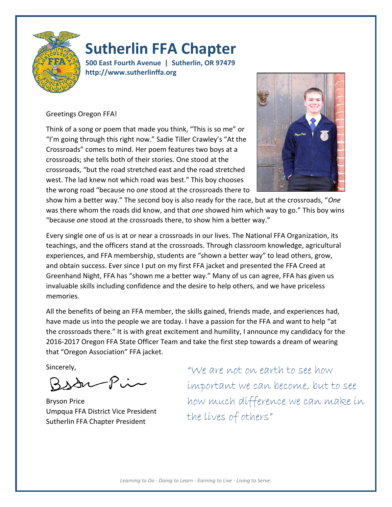

# **Sutherlin FFA Chapter**

**500 East Fourth Avenue | Sutherlin, OR 97479 http://www.sutherlinffa.org**

## Greetings Oregon FFA!

Think of a song or poem that made you think, "This is so me" or "I'm going through this right now." Sadie Tiller Crawley's "At the Crossroads" comes to mind. Her poem features two boys at a crossroads; she tells both of their stories. One stood at the crossroads, "but the road stretched east and the road stretched west. The lad knew not which road was best." This boy chooses the wrong road "because no *one* stood at the crossroads there to



show him a better way." The second boy is also ready for the race, but at the crossroads, "*One*  was there whom the roads did know, and that *one* showed him which way to go." This boy wins "because *one* stood at the crossroads there, to show him a better way."

Every single one of us is at or near a crossroads in our lives. The National FFA Organization, its teachings, and the officers stand at the crossroads. Through classroom knowledge, agricultural experiences, and FFA membership, students are "shown a better way" to lead others, grow, and obtain success. Ever since I put on my first FFA jacket and presented the FFA Creed at Greenhand Night, FFA has "shown me a better way." Many of us can agree, FFA has given us invaluable skills including confidence and the desire to help others, and we have priceless memories.

All the benefits of being an FFA member, the skills gained, friends made, and experiences had, have made us into the people we are today. I have a passion for the FFA and want to help "at the crossroads there." It is with great excitement and humility, I announce my candidacy for the 2016-2017 Oregon FFA State Officer Team and take the first step towards a dream of wearing that "Oregon Association" FFA jacket.

Sincerely,

Bsan-Pin

Bryson Price Umpqua FFA District Vice President Sutherlin FFA Chapter President

"We are not on earth to see how important we can become, but to see how much difference we can make in the lives of others"

*Learning to Do - Doing to Learn - Earning to Live - Living to Serve.*